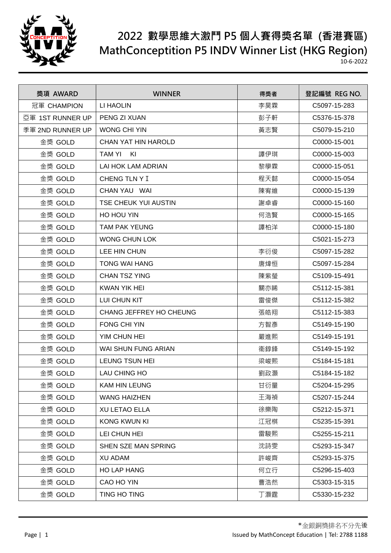

| 獎項 AWARD         | <b>WINNER</b>               | 得獎者 | 登記編號 REG NO. |
|------------------|-----------------------------|-----|--------------|
| 冠軍 CHAMPION      | LI HAOLIN                   | 李昊霖 | C5097-15-283 |
| 亞軍 1ST RUNNER UP | PENG ZI XUAN                | 彭子軒 | C5376-15-378 |
| 季軍 2ND RUNNER UP | <b>WONG CHI YIN</b>         | 黃志賢 | C5079-15-210 |
| 金獎 GOLD          | CHAN YAT HIN HAROLD         |     | C0000-15-001 |
| 金獎 GOLD          | TAM YI<br>KI                | 譚伊琪 | C0000-15-003 |
| 金獎 GOLD          | LAI HOK LAM ADRIAN          | 黎學霖 | C0000-15-051 |
| 金獎 GOLD          | CHENG TLN Y I               | 程天懿 | C0000-15-054 |
| 金獎 GOLD          | CHAN YAU WAI                | 陳宥維 | C0000-15-139 |
| 金獎 GOLD          | <b>TSE CHEUK YUI AUSTIN</b> | 謝卓睿 | C0000-15-160 |
| 金獎 GOLD          | HO HOU YIN                  | 何浩賢 | C0000-15-165 |
| 金獎 GOLD          | <b>TAM PAK YEUNG</b>        | 譚柏洋 | C0000-15-180 |
| 金獎 GOLD          | <b>WONG CHUN LOK</b>        |     | C5021-15-273 |
| 金獎 GOLD          | LEE HIN CHUN                | 李衍俊 | C5097-15-282 |
| 金獎 GOLD          | <b>TONG WAI HANG</b>        | 唐煒恒 | C5097-15-284 |
| 金獎 GOLD          | <b>CHAN TSZ YING</b>        | 陳紫瑩 | C5109-15-491 |
| 金獎 GOLD          | <b>KWAN YIK HEI</b>         | 關亦睎 | C5112-15-381 |
| 金獎 GOLD          | LUI CHUN KIT                | 雷俊傑 | C5112-15-382 |
| 金獎 GOLD          | CHANG JEFFREY HO CHEUNG     | 張皓翔 | C5112-15-383 |
| 金獎 GOLD          | FONG CHI YIN                | 方智彥 | C5149-15-190 |
| 金獎 GOLD          | YIM CHUN HEI                | 嚴進熙 | C5149-15-191 |
| 金獎 GOLD          | <b>WAI SHUN FUNG ARIAN</b>  | 衞錞鋒 | C5149-15-192 |
| 金獎 GOLD          | LEUNG TSUN HEI              | 梁峻熙 | C5184-15-181 |
| 金獎 GOLD          | LAU CHING HO                | 劉政灝 | C5184-15-182 |
| 金獎 GOLD          | <b>KAM HIN LEUNG</b>        | 甘衍量 | C5204-15-295 |
| 金獎 GOLD          | <b>WANG HAIZHEN</b>         | 王海禎 | C5207-15-244 |
| 金獎 GOLD          | <b>XU LETAO ELLA</b>        | 徐樂陶 | C5212-15-371 |
| 金獎 GOLD          | <b>KONG KWUN KI</b>         | 江冠棋 | C5235-15-391 |
| 金獎 GOLD          | LEI CHUN HEI                | 雷駿熙 | C5255-15-211 |
| 金獎 GOLD          | SHEN SZE MAN SPRING         | 沈詩雯 | C5293-15-347 |
| 金獎 GOLD          | <b>XU ADAM</b>              | 許峻齊 | C5293-15-375 |
| 金獎 GOLD          | <b>HO LAP HANG</b>          | 何立行 | C5296-15-403 |
| 金獎 GOLD          | CAO HO YIN                  | 曹浩然 | C5303-15-315 |
| 金獎 GOLD          | TING HO TING                | 丁灝霆 | C5330-15-232 |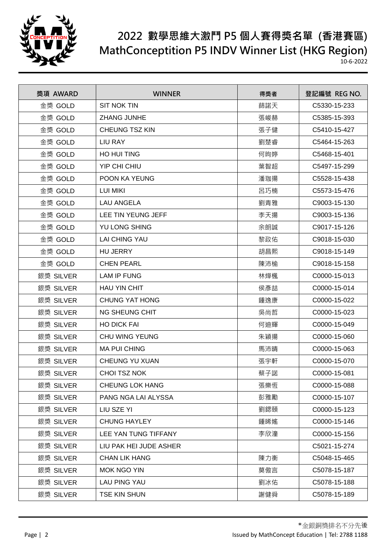

| 獎項 AWARD  | <b>WINNER</b>          | 得獎者 | 登記編號 REG NO. |
|-----------|------------------------|-----|--------------|
| 金獎 GOLD   | <b>SIT NOK TIN</b>     | 蒒諾天 | C5330-15-233 |
| 金獎 GOLD   | <b>ZHANG JUNHE</b>     | 張峻赫 | C5385-15-393 |
| 金獎 GOLD   | <b>CHEUNG TSZ KIN</b>  | 張子健 | C5410-15-427 |
| 金獎 GOLD   | LIU RAY                | 劉楚睿 | C5464-15-263 |
| 金獎 GOLD   | HO HUI TING            | 何昫婷 | C5468-15-401 |
| 金獎 GOLD   | YIP CHI CHIU           | 葉智超 | C5497-15-299 |
| 金獎 GOLD   | POON KA YEUNG          | 潘珈揚 | C5528-15-438 |
| 金獎 GOLD   | <b>LUI MIKI</b>        | 呂巧楠 | C5573-15-476 |
| 金獎 GOLD   | <b>LAU ANGELA</b>      | 劉青雅 | C9003-15-130 |
| 金獎 GOLD   | LEE TIN YEUNG JEFF     | 李天揚 | C9003-15-136 |
| 金獎 GOLD   | YU LONG SHING          | 余朗誠 | C9017-15-126 |
| 金獎 GOLD   | <b>LAI CHING YAU</b>   | 黎政佑 | C9018-15-030 |
| 金獎 GOLD   | <b>HU JERRY</b>        | 胡昌熙 | C9018-15-149 |
| 金獎 GOLD   | <b>CHEN PEARL</b>      | 陳沛榆 | C9018-15-158 |
| 銀獎 SILVER | LAM IP FUNG            | 林燁楓 | C0000-15-013 |
| 銀獎 SILVER | <b>HAU YIN CHIT</b>    | 侯彥喆 | C0000-15-014 |
| 銀獎 SILVER | <b>CHUNG YAT HONG</b>  | 鍾逸康 | C0000-15-022 |
| 銀獎 SILVER | NG SHEUNG CHIT         | 吳尚哲 | C0000-15-023 |
| 銀獎 SILVER | <b>HO DICK FAI</b>     | 何迪輝 | C0000-15-049 |
| 銀獎 SILVER | <b>CHU WING YEUNG</b>  | 朱穎揚 | C0000-15-060 |
| 銀獎 SILVER | <b>MA PUI CHING</b>    | 馬沛晴 | C0000-15-063 |
| 銀獎 SILVER | <b>CHEUNG YU XUAN</b>  | 張宇軒 | C0000-15-070 |
| 銀獎 SILVER | <b>CHOI TSZ NOK</b>    | 蔡子諾 | C0000-15-081 |
| 銀獎 SILVER | <b>CHEUNG LOK HANG</b> | 張樂恆 | C0000-15-088 |
| 銀獎 SILVER | PANG NGA LAI ALYSSA    | 彭雅勵 | C0000-15-107 |
| 銀獎 SILVER | LIU SZE YI             | 劉鍶頤 | C0000-15-123 |
| 銀獎 SILVER | <b>CHUNG HAYLEY</b>    | 鍾睎媱 | C0000-15-146 |
| 銀獎 SILVER | LEE YAN TUNG TIFFANY   | 李欣潼 | C0000-15-156 |
| 銀獎 SILVER | LIU PAK HEI JUDE ASHER |     | C5021-15-274 |
| 銀獎 SILVER | <b>CHAN LIK HANG</b>   | 陳力衡 | C5048-15-465 |
| 銀獎 SILVER | MOK NGO YIN            | 莫傲言 | C5078-15-187 |
| 銀獎 SILVER | LAU PING YAU           | 劉冰佑 | C5078-15-188 |
| 銀獎 SILVER | TSE KIN SHUN           | 謝健舜 | C5078-15-189 |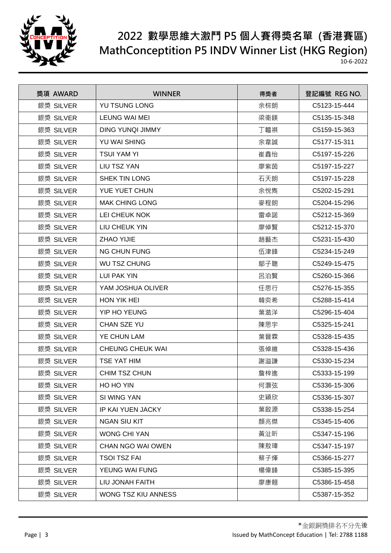

| 獎項 AWARD  | <b>WINNER</b>           | 得獎者 | 登記編號 REG NO. |
|-----------|-------------------------|-----|--------------|
| 銀獎 SILVER | YU TSUNG LONG           | 余棕朗 | C5123-15-444 |
| 銀獎 SILVER | LEUNG WAI MEI           | 梁衞鎂 | C5135-15-348 |
| 銀獎 SILVER | <b>DING YUNQI JIMMY</b> | 丁韞祺 | C5159-15-363 |
| 銀獎 SILVER | YU WAI SHING            | 余韋誠 | C5177-15-311 |
| 銀獎 SILVER | <b>TSUI YAM YI</b>      | 崔鑫怡 | C5197-15-226 |
| 銀獎 SILVER | LIU TSZ YAN             | 廖紫茵 | C5197-15-227 |
| 銀獎 SILVER | SHEK TIN LONG           | 石天朗 | C5197-15-228 |
| 銀獎 SILVER | YUE YUET CHUN           | 余悅雋 | C5202-15-291 |
| 銀獎 SILVER | <b>MAK CHING LONG</b>   | 麥程朗 | C5204-15-296 |
| 銀獎 SILVER | LEI CHEUK NOK           | 雷卓諾 | C5212-15-369 |
| 銀獎 SILVER | LIU CHEUK YIN           | 廖倬賢 | C5212-15-370 |
| 銀獎 SILVER | <b>ZHAO YIJIE</b>       | 趙藝杰 | C5231-15-430 |
| 銀獎 SILVER | <b>NG CHUN FUNG</b>     | 伍津鋒 | C5234-15-249 |
| 銀獎 SILVER | <b>WU TSZ CHUNG</b>     | 鄔子聰 | C5249-15-475 |
| 銀獎 SILVER | <b>LUI PAK YIN</b>      | 呂泊賢 | C5260-15-366 |
| 銀獎 SILVER | YAM JOSHUA OLIVER       | 任思行 | C5276-15-355 |
| 銀獎 SILVER | HON YIK HEI             | 韓奕希 | C5288-15-414 |
| 銀獎 SILVER | YIP HO YEUNG            | 葉澔洋 | C5296-15-404 |
| 銀獎 SILVER | CHAN SZE YU             | 陳思宇 | C5325-15-241 |
| 銀獎 SILVER | YE CHUN LAM             | 葉晉霖 | C5328-15-435 |
| 銀獎 SILVER | <b>CHEUNG CHEUK WAI</b> | 張倬維 | C5328-15-436 |
| 銀獎 SILVER | TSE YAT HIM             | 謝溢謙 | C5330-15-234 |
| 銀獎 SILVER | CHIM TSZ CHUN           | 詹梓進 | C5333-15-199 |
| 銀獎 SILVER | HO HO YIN               | 何灝弦 | C5336-15-306 |
| 銀獎 SILVER | SI WING YAN             | 史穎欣 | C5336-15-307 |
| 銀獎 SILVER | IP KAI YUEN JACKY       | 葉啟源 | C5338-15-254 |
| 銀獎 SILVER | <b>NGAN SIU KIT</b>     | 顏兆傑 | C5345-15-406 |
| 銀獎 SILVER | <b>WONG CHI YAN</b>     | 黃沚昕 | C5347-15-196 |
| 銀獎 SILVER | CHAN NGO WAI OWEN       | 陳敖瑋 | C5347-15-197 |
| 銀獎 SILVER | <b>TSOI TSZ FAI</b>     | 蔡子煇 | C5366-15-277 |
| 銀獎 SILVER | YEUNG WAI FUNG          | 楊偉鋒 | C5385-15-395 |
| 銀獎 SILVER | LIU JONAH FAITH         | 廖康翹 | C5386-15-458 |
| 銀獎 SILVER | WONG TSZ KIU ANNESS     |     | C5387-15-352 |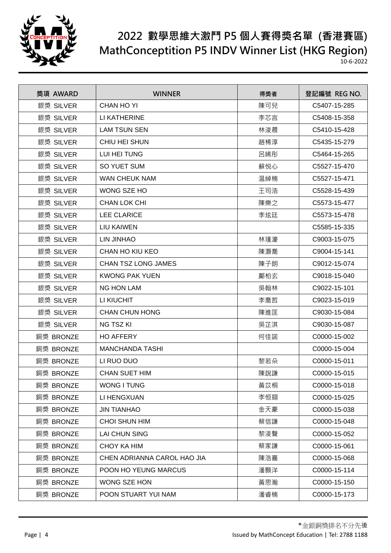

| 獎項 AWARD  | <b>WINNER</b>               | 得獎者 | 登記編號 REG NO. |
|-----------|-----------------------------|-----|--------------|
| 銀獎 SILVER | <b>CHAN HO YI</b>           | 陳可兒 | C5407-15-285 |
| 銀獎 SILVER | LI KATHERINE                | 李芯言 | C5408-15-358 |
| 銀獎 SILVER | <b>LAM TSUN SEN</b>         | 林浚晨 | C5410-15-428 |
| 銀獎 SILVER | CHIU HEI SHUN               | 趙稀淳 | C5435-15-279 |
| 銀獎 SILVER | LUI HEI TUNG                | 呂晞彤 | C5464-15-265 |
| 銀獎 SILVER | <b>SO YUET SUM</b>          | 蘇悦心 | C5527-15-470 |
| 銀獎 SILVER | <b>WAN CHEUK NAM</b>        | 温綽楠 | C5527-15-471 |
| 銀獎 SILVER | WONG SZE HO                 | 王司浩 | C5528-15-439 |
| 銀獎 SILVER | <b>CHAN LOK CHI</b>         | 陳樂之 | C5573-15-477 |
| 銀獎 SILVER | <b>LEE CLARICE</b>          | 李炫廷 | C5573-15-478 |
| 銀獎 SILVER | LIU KAIWEN                  |     | C5585-15-335 |
| 銀獎 SILVER | LIN JINHAO                  | 林瑾濠 | C9003-15-075 |
| 銀獎 SILVER | CHAN HO KIU KEO             | 陳灝喬 | C9004-15-141 |
| 銀獎 SILVER | <b>CHAN TSZ LONG JAMES</b>  | 陳子朗 | C9012-15-074 |
| 銀獎 SILVER | <b>KWONG PAK YUEN</b>       | 鄺柏玄 | C9018-15-040 |
| 銀獎 SILVER | <b>NG HON LAM</b>           | 吳翰林 | C9022-15-101 |
| 銀獎 SILVER | LI KIUCHIT                  | 李喬哲 | C9023-15-019 |
| 銀獎 SILVER | <b>CHAN CHUN HONG</b>       | 陳進匡 | C9030-15-084 |
| 銀獎 SILVER | NG TSZ KI                   | 吳芷淇 | C9030-15-087 |
| 銅獎 BRONZE | <b>HO AFFERY</b>            | 何佳諾 | C0000-15-002 |
| 銅獎 BRONZE | <b>MANCHANDA TASHI</b>      |     | C0000-15-004 |
| 銅獎 BRONZE | LI RUO DUO                  | 黎若朵 | C0000-15-011 |
| 銅獎 BRONZE | <b>CHAN SUET HIM</b>        | 陳說謙 | C0000-15-015 |
| 銅獎 BRONZE | WONG I TUNG                 | 黃苡桐 | C0000-15-018 |
| 銅獎 BRONZE | LI HENGXUAN                 | 李恒翧 | C0000-15-025 |
| 銅獎 BRONZE | <b>JIN TIANHAO</b>          | 金天豪 | C0000-15-038 |
| 銅獎 BRONZE | <b>CHOI SHUN HIM</b>        | 蔡信謙 | C0000-15-048 |
| 銅獎 BRONZE | <b>LAI CHUN SING</b>        | 黎浚聲 | C0000-15-052 |
| 銅獎 BRONZE | CHOY KA HIM                 | 蔡家謙 | C0000-15-061 |
| 銅獎 BRONZE | CHEN ADRIANNA CAROL HAO JIA | 陳浩嘉 | C0000-15-068 |
| 銅獎 BRONZE | POON HO YEUNG MARCUS        | 潘顥洋 | C0000-15-114 |
| 銅獎 BRONZE | WONG SZE HON                | 黃思瀚 | C0000-15-150 |
| 銅獎 BRONZE | POON STUART YUI NAM         | 潘睿楠 | C0000-15-173 |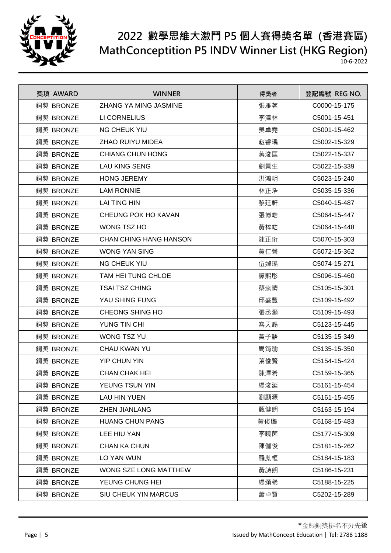

| 獎項 AWARD  | <b>WINNER</b>                 | 得獎者 | 登記編號 REG NO. |
|-----------|-------------------------------|-----|--------------|
| 銅獎 BRONZE | ZHANG YA MING JASMINE         | 張雅茗 | C0000-15-175 |
| 銅獎 BRONZE | LI CORNELIUS                  | 李澤林 | C5001-15-451 |
| 銅獎 BRONZE | <b>NG CHEUK YIU</b>           | 吳卓堯 | C5001-15-462 |
| 銅獎 BRONZE | <b>ZHAO RUIYU MIDEA</b>       | 趙睿瑀 | C5002-15-329 |
| 銅獎 BRONZE | <b>CHIANG CHUN HONG</b>       | 蔣浚匡 | C5022-15-337 |
| 銅獎 BRONZE | <b>LAU KING SENG</b>          | 劉景生 | C5022-15-339 |
| 銅獎 BRONZE | <b>HONG JEREMY</b>            | 洪鴻明 | C5023-15-240 |
| 銅獎 BRONZE | <b>LAM RONNIE</b>             | 林正浩 | C5035-15-336 |
| 銅獎 BRONZE | <b>LAI TING HIN</b>           | 黎廷軒 | C5040-15-487 |
| 銅獎 BRONZE | CHEUNG POK HO KAVAN           | 張博皓 | C5064-15-447 |
| 銅獎 BRONZE | WONG TSZ HO                   | 黃梓皓 | C5064-15-448 |
| 銅獎 BRONZE | <b>CHAN CHING HANG HANSON</b> | 陳正珩 | C5070-15-303 |
| 銅獎 BRONZE | <b>WONG YAN SING</b>          | 黃仁聲 | C5072-15-362 |
| 銅獎 BRONZE | <b>NG CHEUK YIU</b>           | 伍婥瑤 | C5074-15-271 |
| 銅獎 BRONZE | TAM HEI TUNG CHLOE            | 譚熙彤 | C5096-15-460 |
| 銅獎 BRONZE | <b>TSAI TSZ CHING</b>         | 蔡紫晴 | C5105-15-301 |
| 銅獎 BRONZE | YAU SHING FUNG                | 邱盛豐 | C5109-15-492 |
| 銅獎 BRONZE | CHEONG SHING HO               | 張丞灝 | C5109-15-493 |
| 銅獎 BRONZE | YUNG TIN CHI                  | 容天賜 | C5123-15-445 |
| 銅獎 BRONZE | <b>WONG TSZ YU</b>            | 黃子語 | C5135-15-349 |
| 銅獎 BRONZE | CHAU KWAN YU                  | 周筠瑜 | C5135-15-350 |
| 銅獎 BRONZE | <b>YIP CHUN YIN</b>           | 葉俊賢 | C5154-15-424 |
| 銅獎 BRONZE | <b>CHAN CHAK HEI</b>          | 陳澤希 | C5159-15-365 |
| 銅獎 BRONZE | YEUNG TSUN YIN                | 楊浚延 | C5161-15-454 |
| 銅獎 BRONZE | <b>LAU HIN YUEN</b>           | 劉顯源 | C5161-15-455 |
| 銅獎 BRONZE | <b>ZHEN JIANLANG</b>          | 甄健朗 | C5163-15-194 |
| 銅獎 BRONZE | <b>HUANG CHUN PANG</b>        | 黃俊鵬 | C5168-15-483 |
| 銅獎 BRONZE | LEE HIU YAN                   | 李曉茵 | C5177-15-309 |
| 銅獎 BRONZE | <b>CHAN KA CHUN</b>           | 陳伽俊 | C5181-15-262 |
| 銅獎 BRONZE | LO YAN WUN                    | 羅胤桓 | C5184-15-183 |
| 銅獎 BRONZE | WONG SZE LONG MATTHEW         | 黃詩朗 | C5186-15-231 |
| 銅獎 BRONZE | YEUNG CHUNG HEI               | 楊頌稀 | C5188-15-225 |
| 銅獎 BRONZE | SIU CHEUK YIN MARCUS          | 蕭卓賢 | C5202-15-289 |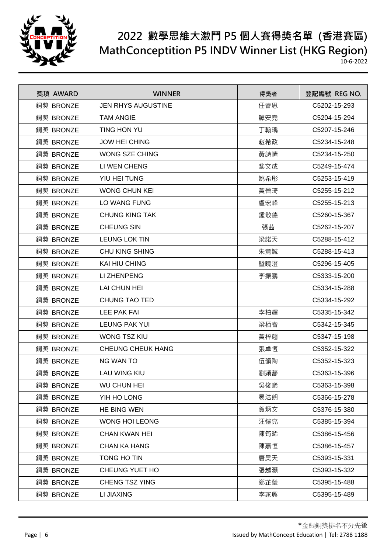

| 獎項 AWARD  | <b>WINNER</b>             | 得獎者 | 登記編號 REG NO. |
|-----------|---------------------------|-----|--------------|
| 銅獎 BRONZE | <b>JEN RHYS AUGUSTINE</b> | 任睿思 | C5202-15-293 |
| 銅獎 BRONZE | <b>TAM ANGIE</b>          | 譚安堯 | C5204-15-294 |
| 銅獎 BRONZE | TING HON YU               | 丁翰瑀 | C5207-15-246 |
| 銅獎 BRONZE | <b>JOW HEI CHING</b>      | 趙希政 | C5234-15-248 |
| 銅獎 BRONZE | <b>WONG SZE CHING</b>     | 黃詩晴 | C5234-15-250 |
| 銅獎 BRONZE | LI WEN CHENG              | 黎文成 | C5249-15-474 |
| 銅獎 BRONZE | YIU HEI TUNG              | 姚希彤 | C5253-15-419 |
| 銅獎 BRONZE | <b>WONG CHUN KEI</b>      | 黃晉琦 | C5255-15-212 |
| 銅獎 BRONZE | <b>LO WANG FUNG</b>       | 盧宏峰 | C5255-15-213 |
| 銅獎 BRONZE | <b>CHUNG KING TAK</b>     | 鍾敬德 | C5260-15-367 |
| 銅獎 BRONZE | <b>CHEUNG SIN</b>         | 張茜  | C5262-15-207 |
| 銅獎 BRONZE | <b>LEUNG LOK TIN</b>      | 梁諾天 | C5288-15-412 |
| 銅獎 BRONZE | <b>CHU KING SHING</b>     | 朱竟誠 | C5288-15-413 |
| 銅獎 BRONZE | KAI HIU CHING             | 暨曉澄 | C5296-15-405 |
| 銅獎 BRONZE | LI ZHENPENG               | 李振鵬 | C5333-15-200 |
| 銅獎 BRONZE | LAI CHUN HEI              |     | C5334-15-288 |
| 銅獎 BRONZE | CHUNG TAO TED             |     | C5334-15-292 |
| 銅獎 BRONZE | LEE PAK FAI               | 李柏輝 | C5335-15-342 |
| 銅獎 BRONZE | <b>LEUNG PAK YUI</b>      | 梁栢睿 | C5342-15-345 |
| 銅獎 BRONZE | <b>WONG TSZ KIU</b>       | 黃梓翹 | C5347-15-198 |
| 銅獎 BRONZE | <b>CHEUNG CHEUK HANG</b>  | 張卓恆 | C5352-15-322 |
| 銅獎 BRONZE | NG WAN TO                 | 伍韻陶 | C5352-15-323 |
| 銅獎 BRONZE | <b>LAU WING KIU</b>       | 劉穎蕎 | C5363-15-396 |
| 銅獎 BRONZE | <b>WU CHUN HEI</b>        | 吳俊晞 | C5363-15-398 |
| 銅獎 BRONZE | YIH HO LONG               | 易浩朗 | C5366-15-278 |
| 銅獎 BRONZE | HE BING WEN               | 賀炳文 | C5376-15-380 |
| 銅獎 BRONZE | <b>WONG HOI LEONG</b>     | 汪愷亮 | C5385-15-394 |
| 銅獎 BRONZE | <b>CHAN KWAN HEI</b>      | 陳筠晞 | C5386-15-456 |
| 銅獎 BRONZE | <b>CHAN KA HANG</b>       | 陳嘉恒 | C5386-15-457 |
| 銅獎 BRONZE | TONG HO TIN               | 唐昊天 | C5393-15-331 |
| 銅獎 BRONZE | CHEUNG YUET HO            | 張越灝 | C5393-15-332 |
| 銅獎 BRONZE | CHENG TSZ YING            | 鄭芷瑩 | C5395-15-488 |
| 銅獎 BRONZE | LI JIAXING                | 李家興 | C5395-15-489 |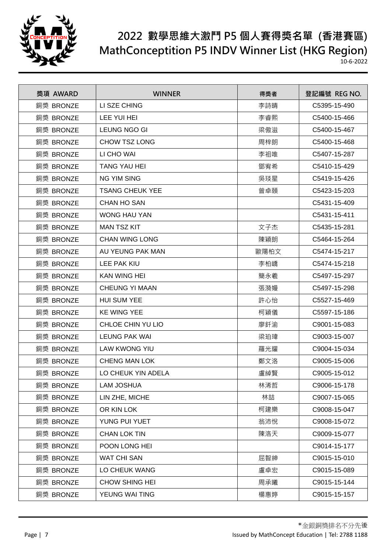

| 獎項 AWARD  | <b>WINNER</b>          | 得獎者  | 登記編號 REG NO. |
|-----------|------------------------|------|--------------|
| 銅獎 BRONZE | LI SZE CHING           | 李詩晴  | C5395-15-490 |
| 銅獎 BRONZE | LEE YUI HEI            | 李睿熙  | C5400-15-466 |
| 銅獎 BRONZE | LEUNG NGO GI           | 梁傲滋  | C5400-15-467 |
| 銅獎 BRONZE | <b>CHOW TSZ LONG</b>   | 周梓朗  | C5400-15-468 |
| 銅獎 BRONZE | LI CHO WAI             | 李祖唯  | C5407-15-287 |
| 銅獎 BRONZE | <b>TANG YAU HEI</b>    | 鄧宥希  | C5410-15-429 |
| 銅獎 BRONZE | <b>NG YIM SING</b>     | 吳琰星  | C5419-15-426 |
| 銅獎 BRONZE | <b>TSANG CHEUK YEE</b> | 曾卓頤  | C5423-15-203 |
| 銅獎 BRONZE | <b>CHAN HO SAN</b>     |      | C5431-15-409 |
| 銅獎 BRONZE | <b>WONG HAU YAN</b>    |      | C5431-15-411 |
| 銅獎 BRONZE | <b>MAN TSZ KIT</b>     | 文子杰  | C5435-15-281 |
| 銅獎 BRONZE | <b>CHAN WING LONG</b>  | 陳穎朗  | C5464-15-264 |
| 銅獎 BRONZE | AU YEUNG PAK MAN       | 歐陽柏文 | C5474-15-217 |
| 銅獎 BRONZE | LEE PAK KIU            | 李柏嶠  | C5474-15-218 |
| 銅獎 BRONZE | <b>KAN WING HEI</b>    | 簡永羲  | C5497-15-297 |
| 銅獎 BRONZE | <b>CHEUNG YI MAAN</b>  | 張漪嫚  | C5497-15-298 |
| 銅獎 BRONZE | <b>HUI SUM YEE</b>     | 許心怡  | C5527-15-469 |
| 銅獎 BRONZE | <b>KE WING YEE</b>     | 柯穎儀  | C5597-15-186 |
| 銅獎 BRONZE | CHLOE CHIN YU LIO      | 廖釺渝  | C9001-15-083 |
| 銅獎 BRONZE | <b>LEUNG PAK WAI</b>   | 梁珀瑋  | C9003-15-007 |
| 銅獎 BRONZE | <b>LAW KWONG YIU</b>   | 羅光耀  | C9004-15-034 |
| 銅獎 BRONZE | <b>CHENG MAN LOK</b>   | 鄭文洛  | C9005-15-006 |
| 銅獎 BRONZE | LO CHEUK YIN ADELA     | 盧綽賢  | C9005-15-012 |
| 銅獎 BRONZE | <b>LAM JOSHUA</b>      | 林浠哲  | C9006-15-178 |
| 銅獎 BRONZE | LIN ZHE, MICHE         | 林喆   | C9007-15-065 |
| 銅獎 BRONZE | OR KIN LOK             | 柯建樂  | C9008-15-047 |
| 銅獎 BRONZE | YUNG PUI YUET          | 翁沛悅  | C9008-15-072 |
| 銅獎 BRONZE | <b>CHAN LOK TIN</b>    | 陳洛天  | C9009-15-077 |
| 銅獎 BRONZE | POON LONG HEI          |      | C9014-15-177 |
| 銅獎 BRONZE | <b>WAT CHI SAN</b>     | 屈智紳  | C9015-15-010 |
| 銅獎 BRONZE | LO CHEUK WANG          | 盧卓宏  | C9015-15-089 |
| 銅獎 BRONZE | <b>CHOW SHING HEI</b>  | 周承曦  | C9015-15-144 |
| 銅獎 BRONZE | YEUNG WAI TING         | 楊惠婷  | C9015-15-157 |